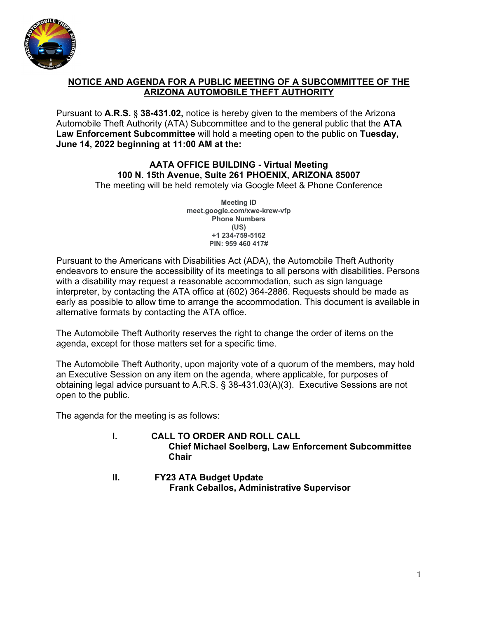

## **NOTICE AND AGENDA FOR A PUBLIC MEETING OF A SUBCOMMITTEE OF THE ARIZONA AUTOMOBILE THEFT AUTHORITY**

Pursuant to **A.R.S. § 38-431.02,** notice is hereby given to the members of the Arizona Automobile Theft Authority (ATA) Subcommittee and to the general public that the **ATA Law Enforcement Subcommittee** will hold a meeting open to the public on **Tuesday, June 14, 2022 beginning at 11:00 AM at the:**

## **AATA OFFICE BUILDING - Virtual Meeting 100 N. 15th Avenue, Suite 261 PHOENIX, ARIZONA 85007**

The meeting will be held remotely via Google Meet & Phone Conference

**Meeting ID meet.google.com/xwe-krew-vfp Phone Numbers (US) + 1 234-759-5162 PIN: 417# 959 460**

Pursuant to the Americans with Disabilities Act (ADA), the Automobile Theft Authority endeavors to ensure the accessibility of its meetings to all persons with disabilities. Persons with a disability may request a reasonable accommodation, such as sign language interpreter, by contacting the ATA office at (602) 364-2886. Requests should be made as early as possible to allow time to arrange the accommodation. This document is available in alternative formats by contacting the ATA office.

The Automobile Theft Authority reserves the right to change the order of items on the agenda, except for those matters set for a specific time.

The Automobile Theft Authority, upon majority vote of a quorum of the members, may hold an Executive Session on any item on the agenda, where applicable, for purposes of obtaining legal advice pursuant to A.R.S. § 38-431.03(A)(3). Executive Sessions are not open to the public.

The agenda for the meeting is as follows:

- **I. CALL TO ORDER AND ROLL CALL Chief Michael Soelberg, Law Enforcement Subcommittee Chair**
- **II. FY23 ATA Budget Update Frank Ceballos, Administrative Supervisor**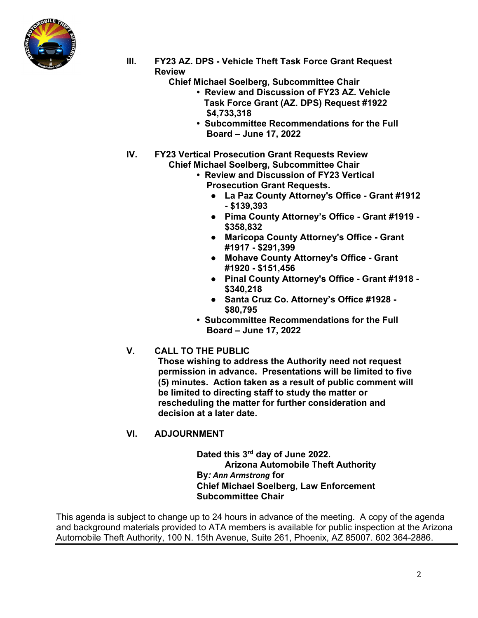

- **III. FY23 AZ. DPS Vehicle Theft Task Force Grant Request Review** 
	- **Chief Michael Soelberg, Subcommittee Chair** 
		- **Review and Discussion of FY23 AZ. Vehicle Task Force Grant (AZ. DPS) Request #1922 \$4,733,318**
		- **Subcommittee Recommendations for the Full Board – June 17, 2022**
- **IV. FY23 Vertical Prosecution Grant Requests Review Chief Michael Soelberg, Subcommittee Chair** 
	- **Review and Discussion of FY23 Vertical Prosecution Grant Requests.** 
		- **La Paz County Attorney's Office Grant #1912 - \$139,393**
		- **Pima County Attorney's Office Grant #1919 \$358,832**
		- **Maricopa County Attorney's Office Grant #1917 - \$291,399**
		- **Mohave County Attorney's Office Grant #1920 - \$151,456**
		- **Pinal County Attorney's Office Grant #1918 \$340,218**
		- **Santa Cruz Co. Attorney's Office #1928 \$80,795**
	- **Subcommittee Recommendations for the Full Board – June 17, 2022**
- **V. CALL TO THE PUBLIC**
	- **Those wishing to address the Authority need not request permission in advance. Presentations will be limited to five (5) minutes. Action taken as a result of public comment will be limited to directing staff to study the matter or rescheduling the matter for further consideration and decision at a later date.**
- **VI. ADJOURNMENT**

**Dated this 3rd day of June 2022. Arizona Automobile Theft Authority By***: Ann Armstrong* **for Chief Michael Soelberg, Law Enforcement Subcommittee Chair** 

This agenda is subject to change up to 24 hours in advance of the meeting. A copy of the agenda and background materials provided to ATA members is available for public inspection at the Arizona Automobile Theft Authority, 100 N. 15th Avenue, Suite 261, Phoenix, AZ 85007. 602 364-2886.